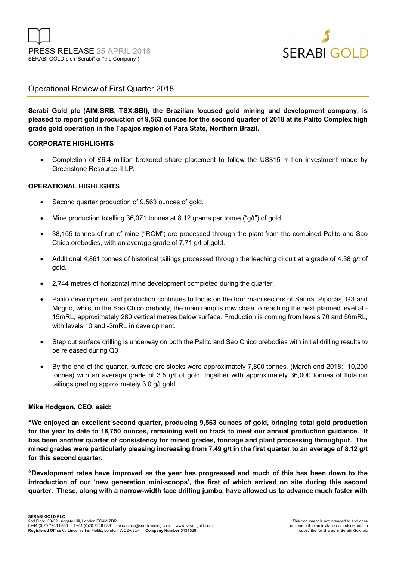



# Operational Review of First Quarter 2018

**Serabi Gold plc (AIM:SRB, TSX:SBI), the Brazilian focused gold mining and development company, is pleased to report gold production of 9,563 ounces for the second quarter of 2018 at its Palito Complex high grade gold operation in the Tapajos region of Para State, Northern Brazil.** 

# **CORPORATE HIGHLIGHTS**

 Completion of £6.4 million brokered share placement to follow the US\$15 million investment made by Greenstone Resource II LP.

# **OPERATIONAL HIGHLIGHTS**

- Second quarter production of 9,563 ounces of gold.
- Mine production totalling 36,071 tonnes at 8.12 grams per tonne ("g/t") of gold.
- 38,155 tonnes of run of mine ("ROM") ore processed through the plant from the combined Palito and Sao Chico orebodies, with an average grade of 7.71 g/t of gold.
- Additional 4,861 tonnes of historical tailings processed through the leaching circuit at a grade of 4.38 g/t of gold.
- 2,744 metres of horizontal mine development completed during the quarter.
- Palito development and production continues to focus on the four main sectors of Senna, Pipocas, G3 and Mogno, whilst in the Sao Chico orebody, the main ramp is now close to reaching the next planned level at - 15mRL, approximately 280 vertical metres below surface. Production is coming from levels 70 and 56mRL, with levels 10 and -3mRL in development.
- Step out surface drilling is underway on both the Palito and Sao Chico orebodies with initial drilling results to be released during Q3
- By the end of the quarter, surface ore stocks were approximately 7,800 tonnes, (March end 2018: 10,200 tonnes) with an average grade of 3.5 g/t of gold, together with approximately 36,000 tonnes of flotation tailings grading approximately 3.0 g/t gold.

# **Mike Hodgson, CEO, said:**

**"We enjoyed an excellent second quarter, producing 9,563 ounces of gold, bringing total gold production for the year to date to 18,750 ounces, remaining well on track to meet our annual production guidance. It has been another quarter of consistency for mined grades, tonnage and plant processing throughput. The mined grades were particularly pleasing increasing from 7.49 g/t in the first quarter to an average of 8.12 g/t for this second quarter.** 

**"Development rates have improved as the year has progressed and much of this has been down to the introduction of our 'new generation mini-scoops', the first of which arrived on site during this second quarter. These, along with a narrow-width face drilling jumbo, have allowed us to advance much faster with**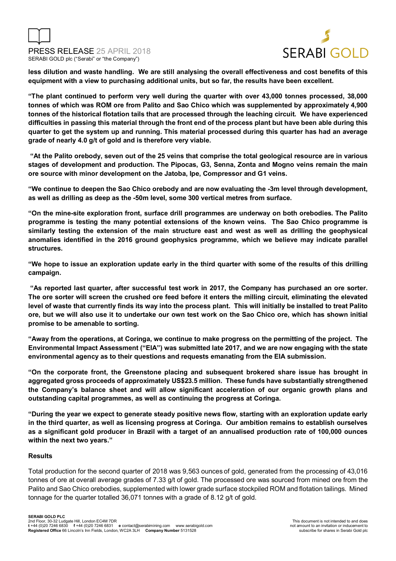



**less dilution and waste handling. We are still analysing the overall effectiveness and cost benefits of this equipment with a view to purchasing additional units, but so far, the results have been excellent.** 

**"The plant continued to perform very well during the quarter with over 43,000 tonnes processed, 38,000 tonnes of which was ROM ore from Palito and Sao Chico which was supplemented by approximately 4,900 tonnes of the historical flotation tails that are processed through the leaching circuit. We have experienced difficulties in passing this material through the front end of the process plant but have been able during this quarter to get the system up and running. This material processed during this quarter has had an average grade of nearly 4.0 g/t of gold and is therefore very viable.** 

 **"At the Palito orebody, seven out of the 25 veins that comprise the total geological resource are in various stages of development and production. The Pipocas, G3, Senna, Zonta and Mogno veins remain the main ore source with minor development on the Jatoba, Ipe, Compressor and G1 veins.** 

**"We continue to deepen the Sao Chico orebody and are now evaluating the -3m level through development, as well as drilling as deep as the -50m level, some 300 vertical metres from surface.** 

**"On the mine-site exploration front, surface drill programmes are underway on both orebodies. The Palito programme is testing the many potential extensions of the known veins. The Sao Chico programme is similarly testing the extension of the main structure east and west as well as drilling the geophysical anomalies identified in the 2016 ground geophysics programme, which we believe may indicate parallel structures.** 

**"We hope to issue an exploration update early in the third quarter with some of the results of this drilling campaign.** 

 **"As reported last quarter, after successful test work in 2017, the Company has purchased an ore sorter. The ore sorter will screen the crushed ore feed before it enters the milling circuit, eliminating the elevated level of waste that currently finds its way into the process plant. This will initially be installed to treat Palito ore, but we will also use it to undertake our own test work on the Sao Chico ore, which has shown initial promise to be amenable to sorting.** 

**"Away from the operations, at Coringa, we continue to make progress on the permitting of the project. The Environmental Impact Assessment ("EIA") was submitted late 2017, and we are now engaging with the state environmental agency as to their questions and requests emanating from the EIA submission.** 

**"On the corporate front, the Greenstone placing and subsequent brokered share issue has brought in aggregated gross proceeds of approximately US\$23.5 million. These funds have substantially strengthened the Company's balance sheet and will allow significant acceleration of our organic growth plans and outstanding capital programmes, as well as continuing the progress at Coringa.** 

**"During the year we expect to generate steady positive news flow, starting with an exploration update early in the third quarter, as well as licensing progress at Coringa. Our ambition remains to establish ourselves as a significant gold producer in Brazil with a target of an annualised production rate of 100,000 ounces within the next two years."**

# **Results**

Total production for the second quarter of 2018 was 9,563 ounces of gold, generated from the processing of 43,016 tonnes of ore at overall average grades of 7.33 g/t of gold. The processed ore was sourced from mined ore from the Palito and Sao Chico orebodies, supplemented with lower grade surface stockpiled ROM and flotation tailings. Mined tonnage for the quarter totalled 36,071 tonnes with a grade of 8.12 g/t of gold.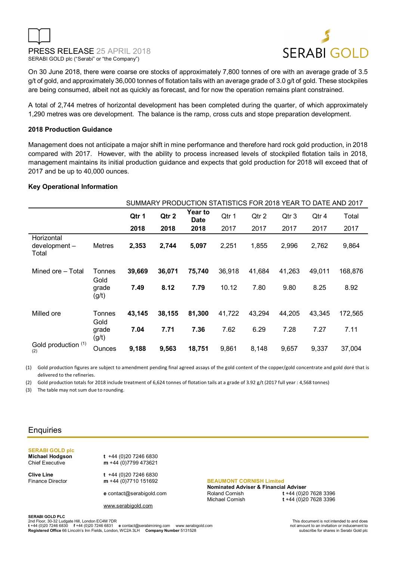



On 30 June 2018, there were coarse ore stocks of approximately 7,800 tonnes of ore with an average grade of 3.5 g/t of gold, and approximately 36,000 tonnes of flotation tails with an average grade of 3.0 g/t of gold. These stockpiles are being consumed, albeit not as quickly as forecast, and for now the operation remains plant constrained.

A total of 2,744 metres of horizontal development has been completed during the quarter, of which approximately 1,290 metres was ore development. The balance is the ramp, cross cuts and stope preparation development.

# **2018 Production Guidance**

Management does not anticipate a major shift in mine performance and therefore hard rock gold production, in 2018 compared with 2017. However, with the ability to process increased levels of stockpiled flotation tails in 2018, management maintains its initial production guidance and expects that gold production for 2018 will exceed that of 2017 and be up to 40,000 ounces.

### **Key Operational Information**

|                                     |                | SUMMARY PRODUCTION STATISTICS FOR 2018 YEAR TO DATE AND 2017 |        |                        |        |        |        |        |         |
|-------------------------------------|----------------|--------------------------------------------------------------|--------|------------------------|--------|--------|--------|--------|---------|
|                                     |                | Qtr 1                                                        | Qtr 2  | <b>Year to</b><br>Date | Qtr 1  | Qtr 2  | Qtr 3  | Qtr 4  | Total   |
|                                     |                | 2018                                                         | 2018   | 2018                   | 2017   | 2017   | 2017   | 2017   | 2017    |
| Horizontal<br>development-<br>Total | <b>Metres</b>  | 2,353                                                        | 2,744  | 5,097                  | 2,251  | 1,855  | 2,996  | 2,762  | 9,864   |
| Mined ore - Total                   | Tonnes<br>Gold | 39,669                                                       | 36,071 | 75,740                 | 36,918 | 41,684 | 41,263 | 49,011 | 168,876 |
|                                     | grade<br>(g/t) | 7.49                                                         | 8.12   | 7.79                   | 10.12  | 7.80   | 9.80   | 8.25   | 8.92    |
| Milled ore                          | Tonnes<br>Gold | 43,145                                                       | 38,155 | 81,300                 | 41,722 | 43,294 | 44,205 | 43,345 | 172,565 |
|                                     | grade<br>(g/t) | 7.04                                                         | 7.71   | 7.36                   | 7.62   | 6.29   | 7.28   | 7.27   | 7.11    |
| Gold production (1)<br>(2)          | <b>Ounces</b>  | 9,188                                                        | 9,563  | 18,751                 | 9,861  | 8,148  | 9,657  | 9,337  | 37,004  |

(1) Gold production figures are subject to amendment pending final agreed assays of the gold content of the copper/gold concentrate and gold doré that is delivered to the refineries.

(2) Gold production totals for 2018 include treatment of 6,624 tonnes of flotation tails at a grade of 3.92 g/t (2017 full year : 4,568 tonnes)

(3) The table may not sum due to rounding.

# **Enquiries**

# **SERABI GOLD plc**

**Michael Hodgson t** +44 (0)20 7246 6830<br>Chief Executive **m** +44 (0)7799 473621 m +44 (0)7799 473621

**Clive Line t** +44 (0)20 7246 6830 Finance Director **m** +44 (0)7710 151692

**e** contact@serabigold.com

www.serabigold.com

## **BEAUMONT CORNISH Limited**

**Nominated Adviser & Financial Adviser** 

Roland Cornish **t** +44 (0)20 7628 3396 Michael Cornish **t** +44 (0)20 7628 3396